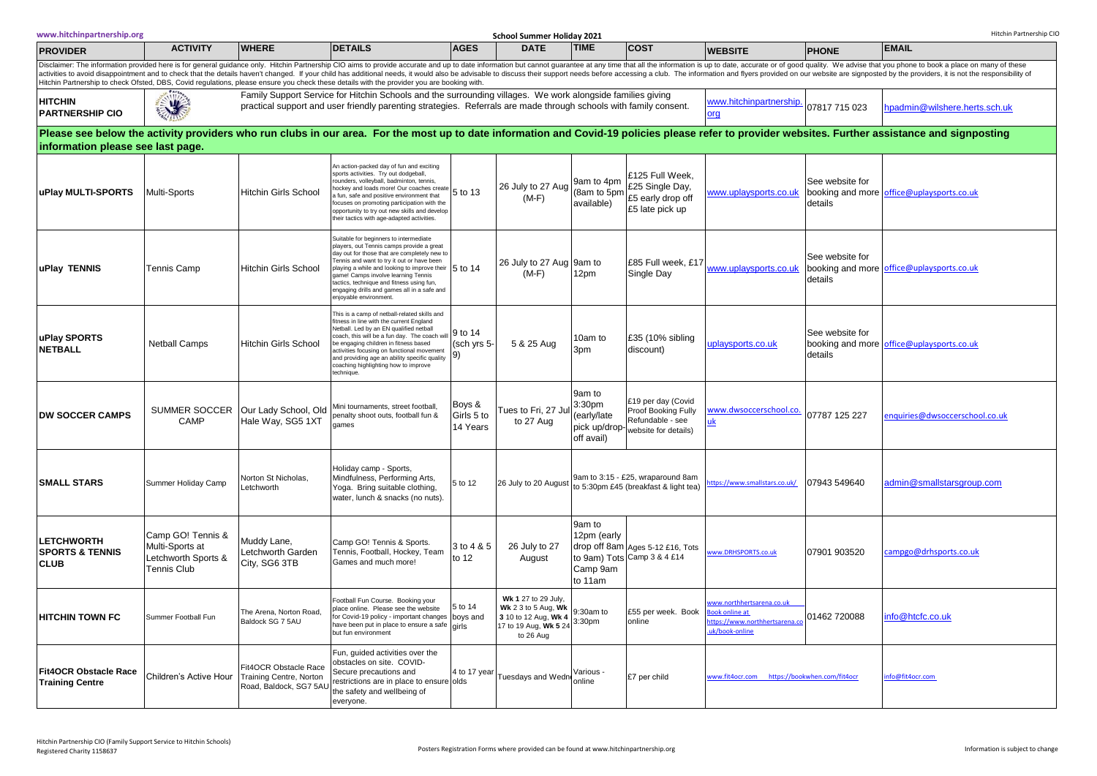|                                                                | www.hitchinpartnership.org<br>Hitchin Partnership CIC<br>School Summer Holiday 2021                                                                                                                                                                                                                                                                                                                                                                                                                                                                                                                            |                                                                                                                                                                                                                                                                                                                     |                                                                                                                                                                                                                                                                                                                                                                                                      |                                  |                                                                                                                 |                                                                |                                                                                       |                                                                                              |                            |                                           |  |  |
|----------------------------------------------------------------|----------------------------------------------------------------------------------------------------------------------------------------------------------------------------------------------------------------------------------------------------------------------------------------------------------------------------------------------------------------------------------------------------------------------------------------------------------------------------------------------------------------------------------------------------------------------------------------------------------------|---------------------------------------------------------------------------------------------------------------------------------------------------------------------------------------------------------------------------------------------------------------------------------------------------------------------|------------------------------------------------------------------------------------------------------------------------------------------------------------------------------------------------------------------------------------------------------------------------------------------------------------------------------------------------------------------------------------------------------|----------------------------------|-----------------------------------------------------------------------------------------------------------------|----------------------------------------------------------------|---------------------------------------------------------------------------------------|----------------------------------------------------------------------------------------------|----------------------------|-------------------------------------------|--|--|
| <b>PROVIDER</b>                                                | <b>ACTIVITY</b>                                                                                                                                                                                                                                                                                                                                                                                                                                                                                                                                                                                                | <b>WHERE</b>                                                                                                                                                                                                                                                                                                        | <b>DETAILS</b>                                                                                                                                                                                                                                                                                                                                                                                       | <b>AGES</b>                      | <b>DATE</b>                                                                                                     | <b>TIME</b>                                                    | <b>COST</b>                                                                           | <b>WEBSITE</b>                                                                               | <b>PHONE</b>               | <b>EMAIL</b>                              |  |  |
|                                                                | Disclaimer: The information provided here is for general guidance only. Hitchin Partnership CIO aims to provide accurate and up to date information but cannot guarantee at any time that all the information is up to date, a<br>activities to avoid disappointment and to check that the details haven't changed. If your child has additional needs, it would also be advisable to discuss their support needs before accessing a club. The information and f<br>Hitchin Partnership to check Ofsted, DBS, Covid regulations, please ensure you check these details with the provider you are booking with. |                                                                                                                                                                                                                                                                                                                     |                                                                                                                                                                                                                                                                                                                                                                                                      |                                  |                                                                                                                 |                                                                |                                                                                       |                                                                                              |                            |                                           |  |  |
| <b>HITCHIN</b><br><b>PARTNERSHIP CIO</b>                       | 3                                                                                                                                                                                                                                                                                                                                                                                                                                                                                                                                                                                                              | Family Support Service for Hitchin Schools and the surrounding villages. We work alongside families giving<br>www.hitchinpartnership.<br>practical support and user friendly parenting strategies. Referrals are made through schools with family consent.<br>07817 715 023<br>npadmin@wilshere.herts.sch.uk<br>org |                                                                                                                                                                                                                                                                                                                                                                                                      |                                  |                                                                                                                 |                                                                |                                                                                       |                                                                                              |                            |                                           |  |  |
|                                                                | Please see below the activity providers who run clubs in our area. For the most up to date information and Covid-19 policies please refer to provider websites. Further assistance and signposting<br>information please see last page.                                                                                                                                                                                                                                                                                                                                                                        |                                                                                                                                                                                                                                                                                                                     |                                                                                                                                                                                                                                                                                                                                                                                                      |                                  |                                                                                                                 |                                                                |                                                                                       |                                                                                              |                            |                                           |  |  |
| uPlay MULTI-SPORTS                                             | Multi-Sports                                                                                                                                                                                                                                                                                                                                                                                                                                                                                                                                                                                                   | <b>Hitchin Girls School</b>                                                                                                                                                                                                                                                                                         | An action-packed day of fun and exciting<br>sports activities. Try out dodgeball,<br>rounders, volleyball, badminton, tennis,<br>nockey and loads more! Our coaches create<br>a fun, safe and positive environment that<br>focuses on promoting participation with the<br>opportunity to try out new skills and develor<br>heir tactics with age-adapted activities.                                 | 5 to 13                          | 26 July to 27 Aug<br>$(M-F)$                                                                                    | 9am to 4pm<br>(8am to 5pm<br>available)                        | £125 Full Week,<br>£25 Single Day,<br>£5 early drop off<br>£5 late pick up            | www.uplaysports.co.uk                                                                        | See website for<br>details | booking and more office@uplaysports.co.uk |  |  |
| uPlay TENNIS                                                   | <b>Tennis Camp</b>                                                                                                                                                                                                                                                                                                                                                                                                                                                                                                                                                                                             | <b>Hitchin Girls School</b>                                                                                                                                                                                                                                                                                         | Suitable for beginners to intermediate<br>players, out Tennis camps provide a great<br>day out for those that are completely new to<br>Tennis and want to try it out or have been<br>blaying a while and looking to improve their 5 to 14<br>game! Camps involve learning Tennis<br>tactics, technique and fitness using fun,<br>engaging drills and games all in a safe and<br>njoyable environment |                                  | 26 July to 27 Aug 9am to<br>$(M-F)$                                                                             | 12pm                                                           | £85 Full week, £17<br>Single Day                                                      | www.uplaysports.co.uk                                                                        | See website for<br>details | booking and more office@uplaysports.co.uk |  |  |
| uPlay SPORTS<br><b>NETBALL</b>                                 | <b>Netball Camps</b>                                                                                                                                                                                                                                                                                                                                                                                                                                                                                                                                                                                           | Hitchin Girls School                                                                                                                                                                                                                                                                                                | This is a camp of netball-related skills and<br>fitness in line with the current England<br>Vetball, Led by an EN qualified netball<br>coach, this will be a fun day. The coach will<br>be engaging children in fitness based<br>activities focusing on functional movement<br>and providing age an ability specific quality<br>coaching highlighting how to improve<br>echnique.                    | 9 to 14<br>(sch yrs 5-           | 5 & 25 Aug                                                                                                      | 10am to<br>3pm                                                 | £35 (10% sibling<br>discount)                                                         | uplaysports.co.uk                                                                            | See website for<br>details | booking and more office@uplaysports.co.uk |  |  |
| <b>DW SOCCER CAMPS</b>                                         | CAMP                                                                                                                                                                                                                                                                                                                                                                                                                                                                                                                                                                                                           | SUMMER SOCCER   Our Lady School, Old<br>Hale Way, SG5 1XT                                                                                                                                                                                                                                                           | Mini tournaments, street football,<br>penalty shoot outs, football fun &<br>games                                                                                                                                                                                                                                                                                                                    | Boys &<br>Girls 5 to<br>14 Years | Tues to Fri, 27 Jul<br>to 27 Aug                                                                                | 9am to<br>3:30pm<br>(early/late<br>pick up/drop-<br>off avail) | £19 per day (Covid<br>Proof Booking Fully<br>Refundable - see<br>website for details) | ww.dwsoccerschool.co<br>ık                                                                   | 07787 125 227              | enquiries@dwsoccerschool.co.uk            |  |  |
| <b>SMALL STARS</b>                                             | Summer Holiday Camp                                                                                                                                                                                                                                                                                                                                                                                                                                                                                                                                                                                            | Norton St Nicholas,<br>_etchworth                                                                                                                                                                                                                                                                                   | Holiday camp - Sports,<br>Mindfulness, Performing Arts,<br>Yoga. Bring suitable clothing,<br>water, lunch & snacks (no nuts).                                                                                                                                                                                                                                                                        | 5 to 12                          | 26 July to 20 August                                                                                            |                                                                | 9am to 3:15 - £25, wraparound 8am<br>to 5:30pm £45 (breakfast & light tea)            | tps://www.smallstars.co.uk/                                                                  | 07943 549640               | admin@smallstarsgroup.com                 |  |  |
| <b>LETCHWORTH</b><br><b>SPORTS &amp; TENNIS</b><br><b>CLUB</b> | Camp GO! Tennis &<br>Multi-Sports at<br>Letchworth Sports &<br>Tennis Club                                                                                                                                                                                                                                                                                                                                                                                                                                                                                                                                     | Muddy Lane,<br>Letchworth Garden<br>City, SG6 3TB                                                                                                                                                                                                                                                                   | Camp GO! Tennis & Sports.<br>Tennis, Football, Hockey, Team<br>Games and much more!                                                                                                                                                                                                                                                                                                                  | 3 to 4 & 5<br>to 12              | 26 July to 27<br>August                                                                                         | 9am to<br>12pm (early<br>Camp 9am<br>to 11am                   | drop off 8am Ages 5-12 £16, Tots<br>to 9am) Tots Camp 3 & 4 £14                       | ww.DRHSPORTS.co.uk                                                                           | 07901 903520               | campgo@drhsports.co.uk                    |  |  |
| <b>HITCHIN TOWN FC</b>                                         | Summer Football Fun                                                                                                                                                                                                                                                                                                                                                                                                                                                                                                                                                                                            | The Arena, Norton Road,<br>Baldock SG 7 5AU                                                                                                                                                                                                                                                                         | Football Fun Course. Booking your<br>place online. Please see the website<br>for Covid-19 policy - important changes boys and<br>have been put in place to ensure a safe girls<br>but fun environment                                                                                                                                                                                                | 5 to 14                          | Wk 1 27 to 29 July,<br>Wk 2 3 to 5 Aug, Wk<br>3 10 to 12 Aug, Wk 4<br>17 to 19 Aug, Wk 5 24 3:30pm<br>to 26 Aug | 9:30am to                                                      | £55 per week. Book<br>online                                                          | ww.northhertsarena.co.uk<br>ook online at<br>ttps://www.northhertsarena.co<br>uk/book-online | 01462 720088               | nfo@htcfc.co.uk                           |  |  |
| <b>Fit4OCR Obstacle Race</b><br><b>Training Centre</b>         | Children's Active Hour                                                                                                                                                                                                                                                                                                                                                                                                                                                                                                                                                                                         | Fit4OCR Obstacle Race<br>Training Centre, Norton<br>Road, Baldock, SG7 5AU                                                                                                                                                                                                                                          | Fun, guided activities over the<br>obstacles on site. COVID-<br>Secure precautions and<br>restrictions are in place to ensure olds<br>the safety and wellbeing of<br>everyone.                                                                                                                                                                                                                       | 4 to 17 year                     | Tuesdays and Wedn                                                                                               | Various -<br>online                                            | £7 per child                                                                          | www.fit4ocr.com https://bookwhen.com/fit4ocr                                                 |                            | nfo@fit4ocr.com                           |  |  |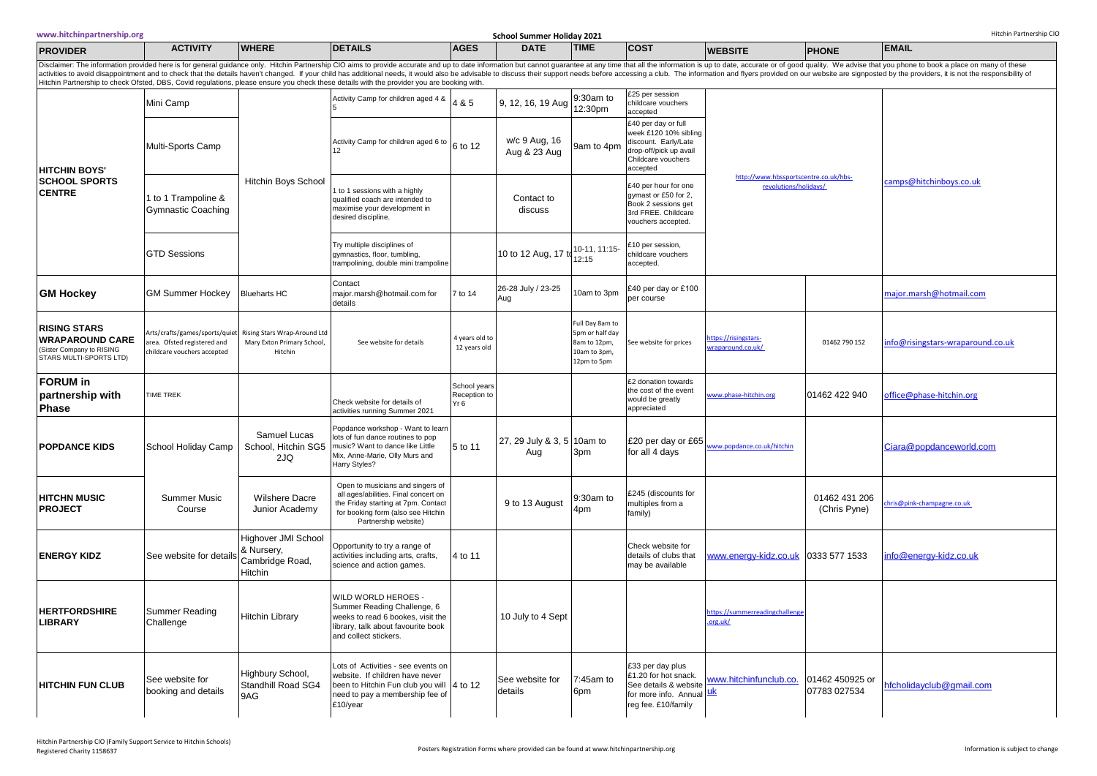| www.hitchinpartnership.org                                                                                                                                                                                                     | Hitchin Partnership CIO<br><b>School Summer Holiday 2021</b>                                 |                                                                       |                                                                                                                                                                               |                                      |                                   |                                                                                   |                                                                                                                                  |                                                                |                                 |                                                                                                                                                                                                                                |
|--------------------------------------------------------------------------------------------------------------------------------------------------------------------------------------------------------------------------------|----------------------------------------------------------------------------------------------|-----------------------------------------------------------------------|-------------------------------------------------------------------------------------------------------------------------------------------------------------------------------|--------------------------------------|-----------------------------------|-----------------------------------------------------------------------------------|----------------------------------------------------------------------------------------------------------------------------------|----------------------------------------------------------------|---------------------------------|--------------------------------------------------------------------------------------------------------------------------------------------------------------------------------------------------------------------------------|
| <b>PROVIDER</b>                                                                                                                                                                                                                | <b>ACTIVITY</b>                                                                              | <b>WHERE</b>                                                          | <b>DETAILS</b>                                                                                                                                                                | <b>AGES</b>                          | <b>DATE</b>                       | <b>TIME</b>                                                                       | <b>COST</b>                                                                                                                      | <b>WEBSITE</b>                                                 | <b>PHONE</b>                    | <b>EMAIL</b>                                                                                                                                                                                                                   |
| Disclaimer: The information provided here is for general guidance only. Hitchin Partnership CIO aims to provide accurate and up to date information but cannot guarantee at any time that all the information is up to date, a |                                                                                              |                                                                       |                                                                                                                                                                               |                                      |                                   |                                                                                   |                                                                                                                                  |                                                                |                                 |                                                                                                                                                                                                                                |
|                                                                                                                                                                                                                                |                                                                                              |                                                                       | Hitchin Partnership to check Ofsted, DBS, Covid regulations, please ensure you check these details with the provider you are booking with                                     |                                      |                                   |                                                                                   |                                                                                                                                  |                                                                |                                 | activities to avoid disappointment and to check that the details haven't changed. If your child has additional needs, it would also be advisable to discuss their support needs before accessing a club. The information and f |
| <b>HITCHIN BOYS'</b><br><b>SCHOOL SPORTS</b><br><b>CENTRE</b>                                                                                                                                                                  | Mini Camp                                                                                    | Hitchin Boys School                                                   | Activity Camp for children aged 4 &                                                                                                                                           | 4 & 5                                | 9, 12, 16, 19 Aug                 | 9:30am to<br>12:30pm                                                              | £25 per session<br>childcare vouchers<br>accepted                                                                                | http://www.hbssportscentre.co.uk/hbs-<br>revolutions/holidays/ |                                 |                                                                                                                                                                                                                                |
|                                                                                                                                                                                                                                | Multi-Sports Camp                                                                            |                                                                       | Activity Camp for children aged 6 to<br>12                                                                                                                                    | 6 to 12                              | w/c 9 Aug, 16<br>Aug & 23 Aug     | 9am to 4pm                                                                        | £40 per day or full<br>week £120 10% sibling<br>discount. Early/Late<br>drop-off/pick up avail<br>Childcare vouchers<br>accepted |                                                                |                                 |                                                                                                                                                                                                                                |
|                                                                                                                                                                                                                                | 1 to 1 Trampoline &<br><b>Gymnastic Coaching</b>                                             |                                                                       | to 1 sessions with a highly<br>qualified coach are intended to<br>maximise your development in<br>desired discipline.                                                         |                                      | Contact to<br>discuss             |                                                                                   | £40 per hour for one<br>gymast or £50 for 2,<br>Book 2 sessions get<br>3rd FREE. Childcare<br>vouchers accepted.                 |                                                                |                                 | camps@hitchinboys.co.uk                                                                                                                                                                                                        |
|                                                                                                                                                                                                                                | <b>GTD Sessions</b>                                                                          |                                                                       | Try multiple disciplines of<br>gymnastics, floor, tumbling,<br>trampolining, double mini trampoline                                                                           |                                      | 10 to 12 Aug, 17 to               | 10-11, 11:15-<br>12:15                                                            | 10 per session,<br>childcare vouchers<br>accepted.                                                                               |                                                                |                                 |                                                                                                                                                                                                                                |
| <b>GM Hockey</b>                                                                                                                                                                                                               | <b>GM Summer Hockey</b>                                                                      | <b>Blueharts HC</b>                                                   | Contact<br>major.marsh@hotmail.com for<br>details                                                                                                                             | 7 to 14                              | 26-28 July / 23-25<br>Aug         | Oam to 3pm                                                                        | £40 per day or £100<br>per course                                                                                                |                                                                |                                 | najor.marsh@hotmail.com                                                                                                                                                                                                        |
| <b>RISING STARS</b><br><b>WRAPAROUND CARE</b><br>(Sister Company to RISING<br>STARS MULTI-SPORTS LTD)                                                                                                                          | Arts/crafts/games/sports/quiet<br>area. Ofsted registered and<br>childcare vouchers accepted | Rising Stars Wrap-Around Ltd<br>Mary Exton Primary School,<br>Hitchin | See website for details                                                                                                                                                       | 4 years old to<br>12 years old       |                                   | Full Day 8am to<br>5pm or half day<br>8am to 12pm,<br>10am to 3pm,<br>12pm to 5pm | See website for prices                                                                                                           | ttps://risingstars-<br>vraparound.co.uk/                       | 01462 790 152                   | nfo@risingstars-wraparound.co.uk                                                                                                                                                                                               |
| <b>FORUM</b> in<br>partnership with<br><b>Phase</b>                                                                                                                                                                            | TIME TREK                                                                                    |                                                                       | Check website for details of<br>activities running Summer 2021                                                                                                                | School years<br>Reception to<br>Yr 6 |                                   |                                                                                   | £2 donation towards<br>the cost of the event<br>would be greatly<br>appreciated                                                  | vww.phase-hitchin.org                                          | 01462 422 940                   | office@phase-hitchin.org                                                                                                                                                                                                       |
| <b>POPDANCE KIDS</b>                                                                                                                                                                                                           | School Holiday Camp                                                                          | Samuel Lucas<br>School, Hitchin SG5<br>2JQ                            | Popdance workshop - Want to learn<br>lots of fun dance routines to pop<br>music? Want to dance like Little<br>Mix, Anne-Marie, Olly Murs and<br>Harry Styles?                 | 5 to 11                              | 27, 29 July & 3, 5 10am to<br>Aug | 3pm                                                                               | £20 per day or £65<br>for all 4 days                                                                                             | ww.popdance.co.uk/hitchin                                      |                                 | Ciara@popdanceworld.com                                                                                                                                                                                                        |
| <b>HITCHN MUSIC</b><br><b>PROJECT</b>                                                                                                                                                                                          | Summer Music<br>Course                                                                       | <b>Wilshere Dacre</b><br>Junior Academy                               | Open to musicians and singers of<br>all ages/abilities. Final concert on<br>the Friday starting at 7pm. Contact<br>for booking form (also see Hitchin<br>Partnership website) |                                      | 9 to 13 August                    | 9:30am to<br>4pm                                                                  | £245 (discounts for<br>multiples from a<br>family)                                                                               |                                                                | 01462 431 206<br>(Chris Pyne)   | hris@pink-champagne.co.uk                                                                                                                                                                                                      |
| <b>ENERGY KIDZ</b>                                                                                                                                                                                                             | See website for detai                                                                        | Highover JMI School<br>& Nursery,<br>Cambridge Road,<br>Hitchin       | Opportunity to try a range of<br>activities including arts, crafts,<br>science and action games.                                                                              | 4 to 11                              |                                   |                                                                                   | Check website for<br>details of clubs that<br>may be available                                                                   | www.energy-kidz.co.uk                                          | 0333 577 1533                   | nfo@energy-kidz.co.uk                                                                                                                                                                                                          |
| <b>HERTFORDSHIRE</b><br><b>LIBRARY</b>                                                                                                                                                                                         | Summer Reading<br>Challenge                                                                  | Hitchin Library                                                       | WILD WORLD HEROES -<br>Summer Reading Challenge, 6<br>weeks to read 6 bookes, visit the<br>library, talk about favourite book<br>and collect stickers.                        |                                      | 10 July to 4 Sept                 |                                                                                   |                                                                                                                                  | https://summerreadingchallenge<br>.org.uk/                     |                                 |                                                                                                                                                                                                                                |
| <b>HITCHIN FUN CLUB</b>                                                                                                                                                                                                        | See website for<br>booking and details                                                       | Highbury School,<br>Standhill Road SG4<br>9AG                         | Lots of Activities - see events on<br>website. If children have never<br>been to Hitchin Fun club you will 4 to 12<br>need to pay a membership fee of<br>£10/year             |                                      | See website for<br>details        | 7:45am to<br>6pm                                                                  | £33 per day plus<br>£1.20 for hot snack.<br>See details & website<br>for more info. Annual $uk$<br>reg fee. £10/family           | www.hitchinfunclub.co.                                         | 01462 450925 or<br>07783 027534 | nfcholidayclub@gmail.com                                                                                                                                                                                                       |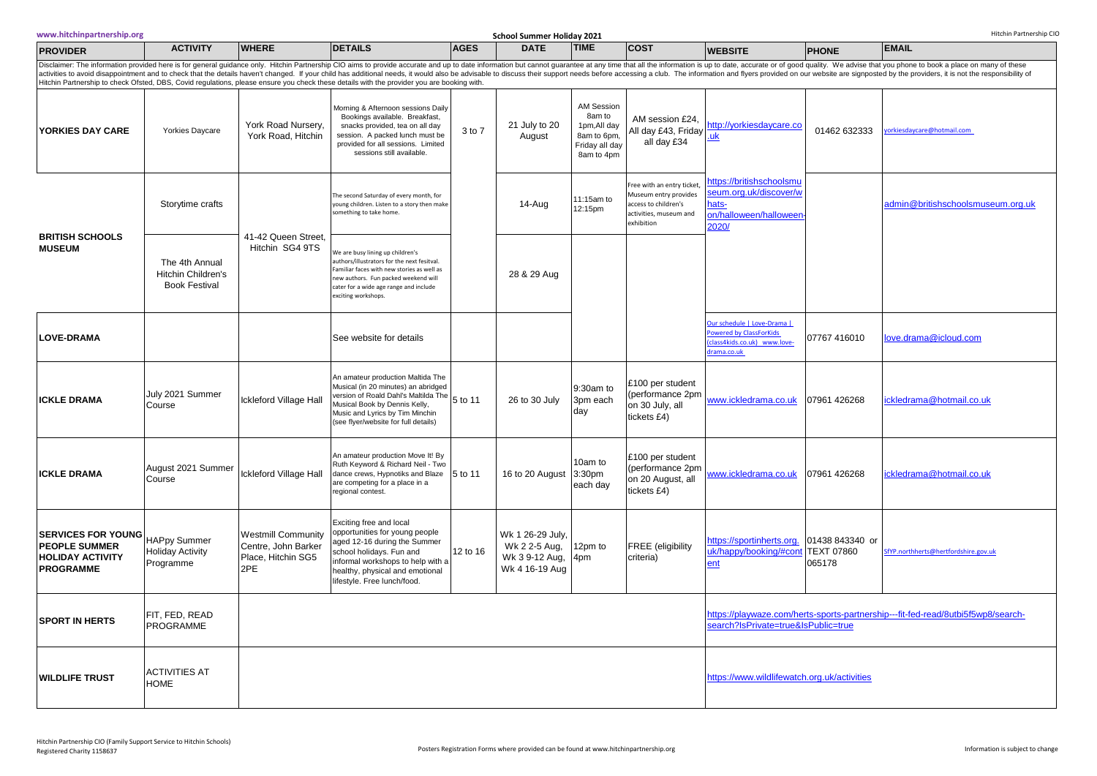| www.hitchinpartnership.org                                                                       | Hitchin Partnership CIO<br>School Summer Holiday 2021                                                                                                                                                                                                                                                                                                                                                                                                                                                                                                                                                          |                                                                               |                                                                                                                                                                                                                                        |             |                                                                       |                                                                                     |                                                                                                                   |                                                                                                    |                                                |                                                                                  |
|--------------------------------------------------------------------------------------------------|----------------------------------------------------------------------------------------------------------------------------------------------------------------------------------------------------------------------------------------------------------------------------------------------------------------------------------------------------------------------------------------------------------------------------------------------------------------------------------------------------------------------------------------------------------------------------------------------------------------|-------------------------------------------------------------------------------|----------------------------------------------------------------------------------------------------------------------------------------------------------------------------------------------------------------------------------------|-------------|-----------------------------------------------------------------------|-------------------------------------------------------------------------------------|-------------------------------------------------------------------------------------------------------------------|----------------------------------------------------------------------------------------------------|------------------------------------------------|----------------------------------------------------------------------------------|
| <b>PROVIDER</b>                                                                                  | <b>ACTIVITY</b>                                                                                                                                                                                                                                                                                                                                                                                                                                                                                                                                                                                                | <b>WHERE</b>                                                                  | <b>DETAILS</b>                                                                                                                                                                                                                         | <b>AGES</b> | <b>DATE</b>                                                           | <b>TIME</b>                                                                         | <b>COST</b>                                                                                                       | <b>WEBSITE</b>                                                                                     | <b>PHONE</b>                                   | <b>EMAIL</b>                                                                     |
|                                                                                                  | Disclaimer: The information provided here is for general guidance only. Hitchin Partnership CIO aims to provide accurate and up to date information but cannot guarantee at any time that all the information is up to date, a<br>activities to avoid disappointment and to check that the details haven't changed. If your child has additional needs, it would also be advisable to discuss their support needs before accessing a club. The information and f<br>Hitchin Partnership to check Ofsted, DBS, Covid regulations, please ensure you check these details with the provider you are booking with. |                                                                               |                                                                                                                                                                                                                                        |             |                                                                       |                                                                                     |                                                                                                                   |                                                                                                    |                                                |                                                                                  |
| YORKIES DAY CARE                                                                                 | Yorkies Daycare                                                                                                                                                                                                                                                                                                                                                                                                                                                                                                                                                                                                | York Road Nursery,<br>York Road, Hitchin                                      | Morning & Afternoon sessions Daily<br>Bookings available. Breakfast,<br>snacks provided, tea on all day<br>session. A packed lunch must be<br>provided for all sessions. Limited<br>sessions still available.                          | 3 to 7      | 21 July to 20<br>August                                               | AM Session<br>8am to<br>1pm, All day<br>8am to 6pm,<br>Friday all day<br>8am to 4pm | AM session £24.<br>All day £43, Friday<br>all day £34                                                             | http://yorkiesdaycare.co<br>uk                                                                     | 01462 632333                                   | vorkiesdaycare@hotmail.com                                                       |
| <b>BRITISH SCHOOLS</b>                                                                           | Storytime crafts                                                                                                                                                                                                                                                                                                                                                                                                                                                                                                                                                                                               | 41-42 Queen Street.<br>Hitchin SG4 9TS                                        | The second Saturday of every month, for<br>young children. Listen to a story then make<br>something to take home.                                                                                                                      |             | 14-Aug                                                                | 11:15am to<br>12:15pm                                                               | ree with an entry ticket<br>Museum entry provides<br>access to children's<br>activities, museum and<br>exhibition | https://britishschoolsmu<br>eum.org.uk/discover/w<br>iats-<br>on/halloween/halloween<br>2020/      |                                                | admin@britishschoolsmuseum.org.uk                                                |
| <b>MUSEUM</b>                                                                                    | The 4th Annual<br><b>Hitchin Children's</b><br><b>Book Festival</b>                                                                                                                                                                                                                                                                                                                                                                                                                                                                                                                                            |                                                                               | We are busy lining up children's<br>authors/illustrators for the next fesitval.<br>Familiar faces with new stories as well as<br>new authors. Fun packed weekend will<br>cater for a wide age range and include<br>exciting workshops. |             | 28 & 29 Aug                                                           |                                                                                     |                                                                                                                   |                                                                                                    |                                                |                                                                                  |
| <b>LOVE-DRAMA</b>                                                                                |                                                                                                                                                                                                                                                                                                                                                                                                                                                                                                                                                                                                                |                                                                               | See website for details                                                                                                                                                                                                                |             |                                                                       |                                                                                     |                                                                                                                   | Our schedule   Love-Drama  <br>owered by ClassForKids<br>class4kids.co.uk) www.love-<br>rama.co.uk | 07767 416010                                   | ove.drama@icloud.com                                                             |
| <b>ICKLE DRAMA</b>                                                                               | July 2021 Summer<br>Course                                                                                                                                                                                                                                                                                                                                                                                                                                                                                                                                                                                     | Ickleford Village Hall                                                        | An amateur production Maltida The<br>Musical (in 20 minutes) an abridged<br>Version of Roald Dahl's Maltilda The 5 to 11<br>Musical Book by Dennis Kelly,<br>Music and Lyrics by Tim Minchin<br>(see flyer/website for full details)   |             | 26 to 30 July                                                         | 9:30am to<br>3pm each<br>day                                                        | £100 per student<br>(performance 2pm<br>on 30 July, all<br>tickets £4)                                            | ww.ickledrama.co.uk                                                                                | 07961 426268                                   | ckledrama@hotmail.co.uk                                                          |
| <b>ICKLE DRAMA</b>                                                                               | August 2021 Summer<br>Course                                                                                                                                                                                                                                                                                                                                                                                                                                                                                                                                                                                   | Ickleford Village Hall                                                        | An amateur production Move It! By<br>Ruth Keyword & Richard Neil - Two<br>dance crews, Hypnotiks and Blaze<br>are competing for a place in a<br>regional contest.                                                                      | 5 to 11     | 16 to 20 August                                                       | 10am to<br>3:30pm<br>each day                                                       | £100 per student<br>(performance 2pm<br>on 20 August, all<br>tickets £4)                                          | ww.ickledrama.co.uk                                                                                | 07961 426268                                   | ckledrama@hotmail.co.uk                                                          |
| <b>SERVICES FOR YOUNG</b><br><b>PEOPLE SUMMER</b><br><b>HOLIDAY ACTIVITY</b><br><b>PROGRAMME</b> | <b>HAPpy Summer</b><br><b>Holiday Activity</b><br>Programme                                                                                                                                                                                                                                                                                                                                                                                                                                                                                                                                                    | <b>Westmill Community</b><br>Centre, John Barker<br>Place, Hitchin SG5<br>2PE | Exciting free and local<br>opportunities for young people<br>aged 12-16 during the Summer<br>school holidays. Fun and<br>informal workshops to help with a<br>healthy, physical and emotional<br>lifestyle. Free lunch/food.           | 12 to 16    | Wk 1 26-29 July,<br>Wk 2 2-5 Aug,<br>Wk 3 9-12 Aug,<br>Wk 4 16-19 Aug | 12pm to<br>4pm                                                                      | <b>FREE</b> (eligibility<br>criteria)                                                                             | https://sportinherts.org.<br>ik/happy/booking/#cont<br>ent                                         | 01438 843340 or<br><b>TEXT 07860</b><br>065178 | SfYP.northherts@hertfordshire.gov.uk                                             |
| <b>SPORT IN HERTS</b>                                                                            | FIT, FED, READ<br><b>PROGRAMME</b>                                                                                                                                                                                                                                                                                                                                                                                                                                                                                                                                                                             |                                                                               |                                                                                                                                                                                                                                        |             |                                                                       |                                                                                     |                                                                                                                   | search?IsPrivate=true&IsPublic=true                                                                |                                                | https://playwaze.com/herts-sports-partnership---fit-fed-read/8utbi5f5wp8/search- |
| <b>WILDLIFE TRUST</b>                                                                            | <b>ACTIVITIES AT</b><br><b>HOME</b>                                                                                                                                                                                                                                                                                                                                                                                                                                                                                                                                                                            |                                                                               |                                                                                                                                                                                                                                        |             |                                                                       |                                                                                     |                                                                                                                   | https://www.wildlifewatch.org.uk/activities                                                        |                                                |                                                                                  |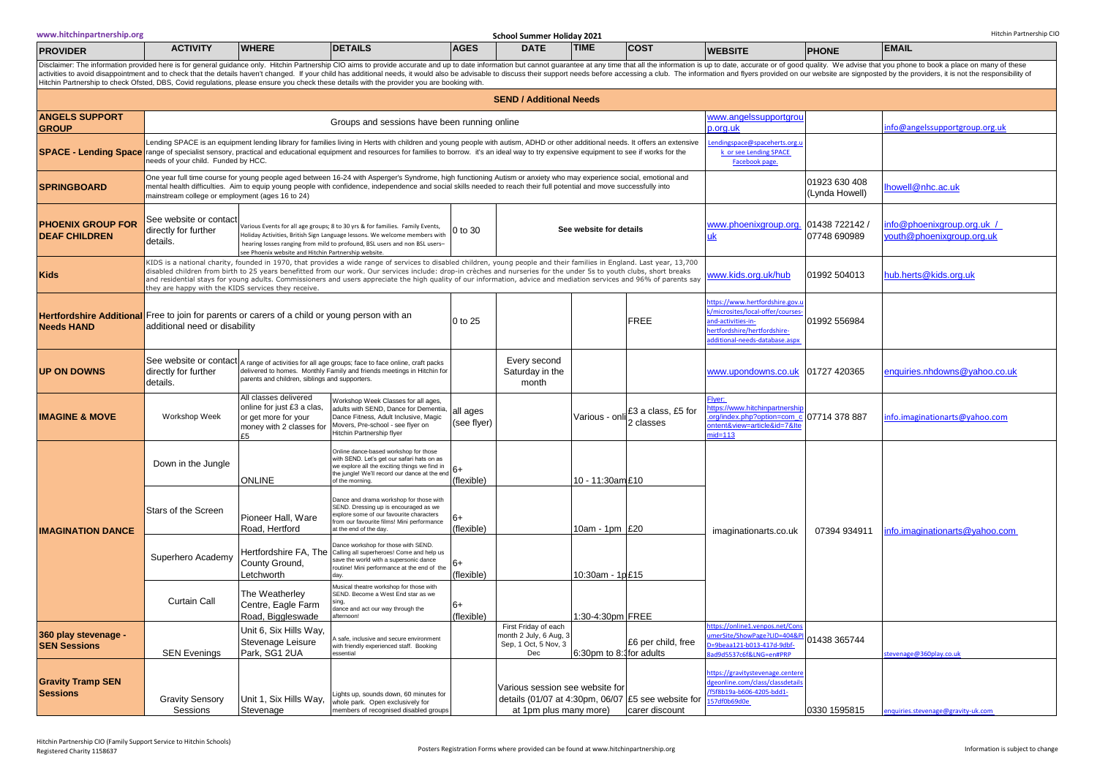|                                             |                                                                                                                                                                                                                                                                                                                                                                                                                                                                                                                                                                               |                                                                                                                | Hitchin Partnership to check Ofsted, DBS, Covid regulations, please ensure you check these details with the provider you are booking with                                                                                                                                                                                                                                          |                    |                                                                               |                                 |                                                                                                                     |                                                                                                                                                           |                                 |                                                       |
|---------------------------------------------|-------------------------------------------------------------------------------------------------------------------------------------------------------------------------------------------------------------------------------------------------------------------------------------------------------------------------------------------------------------------------------------------------------------------------------------------------------------------------------------------------------------------------------------------------------------------------------|----------------------------------------------------------------------------------------------------------------|------------------------------------------------------------------------------------------------------------------------------------------------------------------------------------------------------------------------------------------------------------------------------------------------------------------------------------------------------------------------------------|--------------------|-------------------------------------------------------------------------------|---------------------------------|---------------------------------------------------------------------------------------------------------------------|-----------------------------------------------------------------------------------------------------------------------------------------------------------|---------------------------------|-------------------------------------------------------|
|                                             |                                                                                                                                                                                                                                                                                                                                                                                                                                                                                                                                                                               |                                                                                                                |                                                                                                                                                                                                                                                                                                                                                                                    |                    | <b>SEND / Additional Needs</b>                                                |                                 |                                                                                                                     |                                                                                                                                                           |                                 |                                                       |
| <b>ANGELS SUPPORT</b><br><b>GROUP</b>       |                                                                                                                                                                                                                                                                                                                                                                                                                                                                                                                                                                               |                                                                                                                | Groups and sessions have been running online                                                                                                                                                                                                                                                                                                                                       |                    |                                                                               |                                 |                                                                                                                     | www.angelssupportgrou<br>p.ora.uk                                                                                                                         |                                 | nfo@angelssupportgroup.org.uk                         |
|                                             | needs of your child. Funded by HCC.                                                                                                                                                                                                                                                                                                                                                                                                                                                                                                                                           |                                                                                                                | Lending SPACE is an equipment lending library for families living in Herts with children and young people with autism, ADHD or other additional needs. It offers an extensive<br>SPACE - Lending Space range of specialist sensory, practical and educational equipment and resources for families to borrow. it's an ideal way to try expensive equipment to see if works for the |                    |                                                                               |                                 |                                                                                                                     | endingspace@spaceherts.org.u<br>k or see Lending SPACE<br>Facebook page.                                                                                  |                                 |                                                       |
| <b>SPRINGBOARD</b>                          | One year full time course for young people aged between 16-24 with Asperger's Syndrome, high functioning Autism or anxiety who may experience social, emotional and<br>mental health difficulties. Aim to equip young people with confidence, independence and social skills needed to reach their full potential and move successfully into<br>nainstream college or employment (ages 16 to 24)                                                                                                                                                                              |                                                                                                                |                                                                                                                                                                                                                                                                                                                                                                                    |                    |                                                                               |                                 |                                                                                                                     |                                                                                                                                                           | 01923 630 408<br>(Lynda Howell) | nowell@nhc.ac.uk                                      |
| PHOENIX GROUP FOR<br><b>DEAF CHILDREN</b>   | See website or contact<br>Various Events for all age groups; 8 to 30 yrs & for families. Family Events,<br>directly for further<br>Holiday Activities, British Sign Language lessons. We welcome members with<br>details.<br>hearing losses ranging from mild to profound, BSL users and non BSL users-<br>ee Phoenix website and Hitchin Partnership website.                                                                                                                                                                                                                |                                                                                                                |                                                                                                                                                                                                                                                                                                                                                                                    |                    |                                                                               | See website for details         |                                                                                                                     | www.phoenixgroup.org.<br>uk                                                                                                                               | 01438 722142<br>07748 690989    | / hfo@phoenixaroup.ora.uk<br>outh@phoenixgroup.org.uk |
| <b>Kids</b>                                 | KIDS is a national charity, founded in 1970, that provides a wide range of services to disabled children, young people and their families in England. Last year, 13,700<br>disabled children from birth to 25 years benefitted from our work. Our services include: drop-in crèches and nurseries for the under 5s to youth clubs, short breaks<br>and residential stays for young adults. Commissioners and users appreciate the high quality of our information, advice and mediation services and 96% of parents say<br>hey are happy with the KIDS services they receive. |                                                                                                                |                                                                                                                                                                                                                                                                                                                                                                                    |                    |                                                                               |                                 |                                                                                                                     | www.kids.org.uk/hub                                                                                                                                       | 01992 504013                    | hub.herts@kids.org.uk                                 |
| <b>Needs HAND</b>                           | Hertfordshire Additional Free to join for parents or carers of a child or young person with an<br>additional need or disability                                                                                                                                                                                                                                                                                                                                                                                                                                               |                                                                                                                |                                                                                                                                                                                                                                                                                                                                                                                    | 0 to 25            |                                                                               |                                 | <b>FREE</b>                                                                                                         | https://www.hertfordshire.gov.i<br>/microsites/local-offer/courses<br>ind-activities-in-<br>nertfordshire/hertfordshire-<br>dditional-needs-database.aspx | 01992 556984                    |                                                       |
| <b>UP ON DOWNS</b>                          | See website or contact<br>A range of activities for all age groups; face to face online, craft packs<br>delivered to homes. Monthly Family and friends meetings in Hitchin for<br>directly for further<br>parents and children, siblings and supporters.<br>details.                                                                                                                                                                                                                                                                                                          |                                                                                                                |                                                                                                                                                                                                                                                                                                                                                                                    |                    | Every second<br>Saturday in the<br>month                                      |                                 |                                                                                                                     | www.upondowns.co.uk                                                                                                                                       | 01727 420365                    | nquiries.nhdowns@yahoo.co.uk                          |
| <b>IMAGINE &amp; MOVE</b>                   | Workshop Week                                                                                                                                                                                                                                                                                                                                                                                                                                                                                                                                                                 | All classes delivered<br>online for just £3 a clas,<br>or get more for your<br>money with 2 classes for<br>F5. | all ages<br>(see flyer)                                                                                                                                                                                                                                                                                                                                                            |                    | Various - on                                                                  | £3 a class, £5 for<br>2 classes | Flyer:<br>ttps://www.hitchinpartnership<br>org/index.php?option=com_o<br>ntent&view=article&id=7&Ite<br>$nid = 113$ | 07714 378 887                                                                                                                                             | nfo.imaginationarts@yahoo.com   |                                                       |
|                                             | Down in the Jungle                                                                                                                                                                                                                                                                                                                                                                                                                                                                                                                                                            | <b>ONLINE</b>                                                                                                  | Online dance-based workshop for those<br>with SEND. Let's get our safari hats on as<br>we explore all the exciting things we find in<br>the jungle! We'll record our dance at the end<br>of the morning                                                                                                                                                                            | $6+$<br>(flexible) |                                                                               | 10 - 11:30am £10                |                                                                                                                     |                                                                                                                                                           |                                 |                                                       |
| <b>IMAGINATION DANCE</b>                    | Stars of the Screen                                                                                                                                                                                                                                                                                                                                                                                                                                                                                                                                                           | Pioneer Hall, Ware<br>Road, Hertford                                                                           | Dance and drama workshop for those with<br>SEND. Dressing up is encouraged as we<br>explore some of our favourite characters<br>from our favourite films! Mini performance<br>at the end of the day.                                                                                                                                                                               | 6+<br>(flexible)   |                                                                               | 10am - 1pm £20                  |                                                                                                                     | imaginationarts.co.uk                                                                                                                                     | 07394 934911                    | nfo.imaginationarts@yahoo.com                         |
|                                             | Superhero Academy                                                                                                                                                                                                                                                                                                                                                                                                                                                                                                                                                             | County Ground,<br>Letchworth                                                                                   | Dance workshop for those with SEND.<br>Hertfordshire FA, The Calling all superheroes! Come and help us<br>save the world with a supersonic dance<br>routine! Mini performance at the end of the<br>dav                                                                                                                                                                             | $6+$<br>(flexible) |                                                                               | 10:30am - 1p £15                |                                                                                                                     |                                                                                                                                                           |                                 |                                                       |
|                                             | <b>Curtain Call</b>                                                                                                                                                                                                                                                                                                                                                                                                                                                                                                                                                           | The Weatherley<br>Centre, Eagle Farm<br>Road, Biggleswade                                                      | Musical theatre workshop for those with<br>SEND. Become a West End star as we<br>sing,<br>dance and act our way through the<br>afternoon                                                                                                                                                                                                                                           | 6+<br>(flexible)   |                                                                               | :30-4:30pm FREE                 |                                                                                                                     |                                                                                                                                                           |                                 |                                                       |
| 360 play stevenage -<br><b>SEN Sessions</b> | <b>SEN Evenings</b>                                                                                                                                                                                                                                                                                                                                                                                                                                                                                                                                                           | Unit 6, Six Hills Way,<br>Stevenage Leisure<br>Park, SG1 2UA                                                   | A safe, inclusive and secure environment<br>with friendly experienced staff. Booking<br>essential                                                                                                                                                                                                                                                                                  |                    | First Friday of each<br>month 2 July, 6 Aug, 3<br>Sep, 1 Oct, 5 Nov, 3<br>Dec | 6:30pm to 8:1 for adults        | £6 per child, free                                                                                                  | ttps://online1.venpos.net/Cor<br>merSite/ShowPage?LID=404&F<br>0=9beaa121-b013-417d-9dbf-<br>ad9d5537c6f&LNG=en#PRP                                       | 01438 365744                    | evenage@360play.co.ul                                 |
| <b>Gravity Tramp SEN</b><br><b>Sessions</b> | <b>Gravity Sensory</b><br>Sessions                                                                                                                                                                                                                                                                                                                                                                                                                                                                                                                                            | Stevenage                                                                                                      | Lights up, sounds down, 60 minutes for<br>Unit 1, Six Hills Way, whole park. Open exclusively for<br>members of recognised disabled groups                                                                                                                                                                                                                                         |                    | Various session see website for<br>at 1pm plus many more)                     |                                 | details (01/07 at 4:30pm, 06/07 $E$ 5 see website for<br>carer discount                                             | https://gravitystevenage.center<br>dgeonline.com/class/classdetail<br>/f5f8b19a-b606-4205-bdd1-<br>157df0b69d0e                                           | 0330 1595815                    | nquiries.stevenage@gravity-uk.com                     |

**School Summer Holiday 2021** Hitchin Partnership.org **School Summer Holiday 2021** Hitchin Partnership CIO

Disclaimer: The information provided here is for general guidance only. Hitchin Partnership CIO aims to provide accurate and up to date information but cannot guarantee at any time that all the information is up to date, a

**PROVIDER ACTIVITY WHERE DETAILS AGES DATE TIME COST WEBSITE PHONE EMAIL**